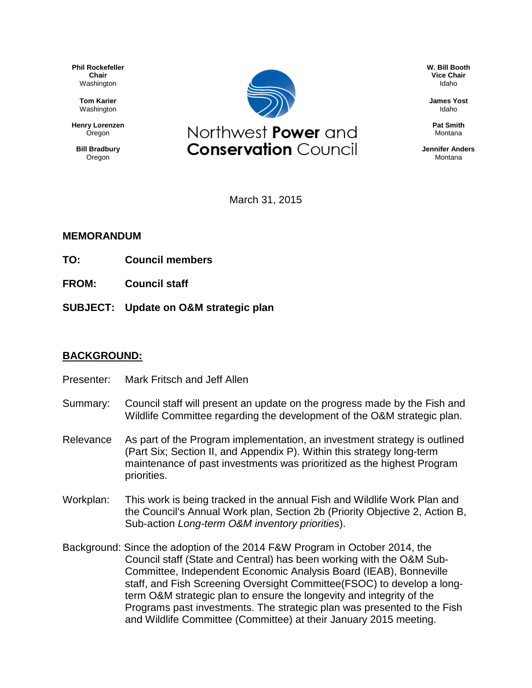**Phil Rockefeller Chair** Washington

> **Tom Karier** Washington

**Henry Lorenzen Oregon** 

**Bill Bradbury** Oregon



**W. Bill Booth Vice Chair** Idaho

**James Yost** Idaho

**Pat Smith** Montana

**Jennifer Anders** Montana

March 31, 2015

### **MEMORANDUM**

- **TO: Council members**
- **FROM: Council staff**
- **SUBJECT: Update on O&M strategic plan**

### **BACKGROUND:**

- Presenter: Mark Fritsch and Jeff Allen
- Summary: Council staff will present an update on the progress made by the Fish and Wildlife Committee regarding the development of the O&M strategic plan.
- Relevance As part of the Program implementation, an investment strategy is outlined (Part Six; Section II, and Appendix P). Within this strategy long-term maintenance of past investments was prioritized as the highest Program priorities.
- Workplan: This work is being tracked in the annual Fish and Wildlife Work Plan and the Council's Annual Work plan, Section 2b (Priority Objective 2, Action B, Sub-action *Long-term O&M inventory priorities*).
- Background: Since the adoption of the 2014 F&W Program in October 2014, the Council staff (State and Central) has been working with the O&M Sub-Committee, Independent Economic Analysis Board (IEAB), Bonneville staff, and Fish Screening Oversight Committee(FSOC) to develop a longterm O&M strategic plan to ensure the longevity and integrity of the Programs past investments. The strategic plan was presented to the Fish and Wildlife Committee (Committee) at their January 2015 meeting.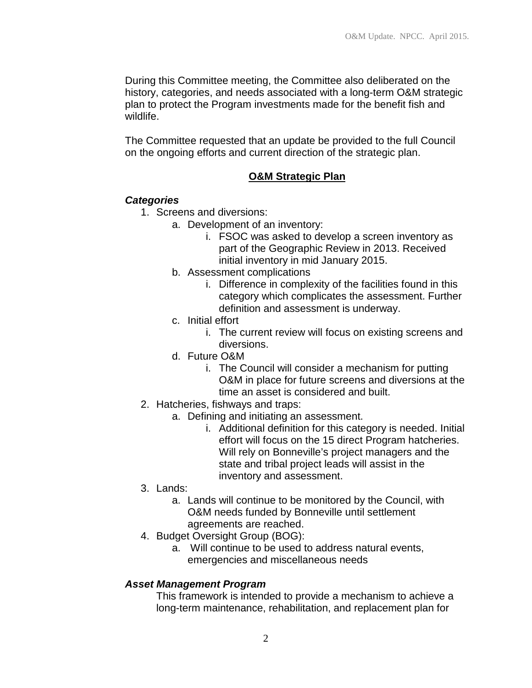During this Committee meeting, the Committee also deliberated on the history, categories, and needs associated with a long-term O&M strategic plan to protect the Program investments made for the benefit fish and wildlife.

The Committee requested that an update be provided to the full Council on the ongoing efforts and current direction of the strategic plan.

# **O&M Strategic Plan**

# *Categories*

- 1. Screens and diversions:
	- a. Development of an inventory:
		- i. FSOC was asked to develop a screen inventory as part of the Geographic Review in 2013. Received initial inventory in mid January 2015.
	- b. Assessment complications
		- i. Difference in complexity of the facilities found in this category which complicates the assessment. Further definition and assessment is underway.
	- c. Initial effort
		- i. The current review will focus on existing screens and diversions.
	- d. Future O&M
		- i. The Council will consider a mechanism for putting O&M in place for future screens and diversions at the time an asset is considered and built.
- 2. Hatcheries, fishways and traps:
	- a. Defining and initiating an assessment.
		- i. Additional definition for this category is needed. Initial effort will focus on the 15 direct Program hatcheries. Will rely on Bonneville's project managers and the state and tribal project leads will assist in the inventory and assessment.
- 3. Lands:
	- a. Lands will continue to be monitored by the Council, with O&M needs funded by Bonneville until settlement agreements are reached.
- 4. Budget Oversight Group (BOG):
	- a. Will continue to be used to address natural events, emergencies and miscellaneous needs

# *Asset Management Program*

This framework is intended to provide a mechanism to achieve a long-term maintenance, rehabilitation, and replacement plan for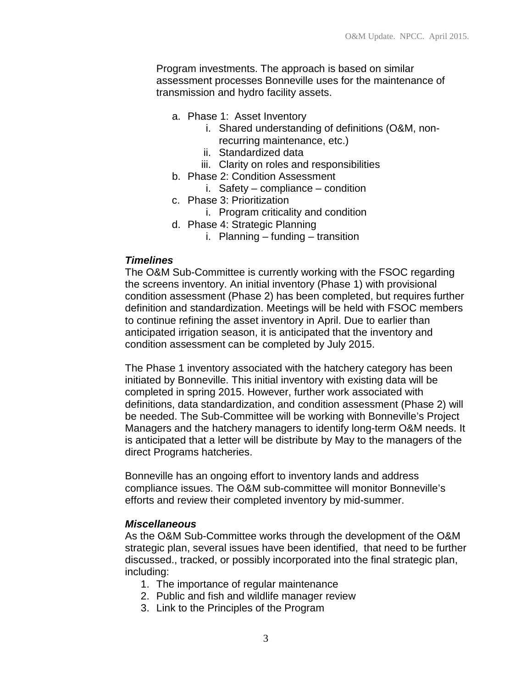Program investments. The approach is based on similar assessment processes Bonneville uses for the maintenance of transmission and hydro facility assets.

- a. Phase 1: Asset Inventory
	- i. Shared understanding of definitions (O&M, nonrecurring maintenance, etc.)
	- ii. Standardized data
	- iii. Clarity on roles and responsibilities
- b. Phase 2: Condition Assessment
	- i. Safety compliance condition
- c. Phase 3: Prioritization
	- i. Program criticality and condition
- d. Phase 4: Strategic Planning
	- i. Planning funding transition

#### *Timelines*

The O&M Sub-Committee is currently working with the FSOC regarding the screens inventory. An initial inventory (Phase 1) with provisional condition assessment (Phase 2) has been completed, but requires further definition and standardization. Meetings will be held with FSOC members to continue refining the asset inventory in April. Due to earlier than anticipated irrigation season, it is anticipated that the inventory and condition assessment can be completed by July 2015.

The Phase 1 inventory associated with the hatchery category has been initiated by Bonneville. This initial inventory with existing data will be completed in spring 2015. However, further work associated with definitions, data standardization, and condition assessment (Phase 2) will be needed. The Sub-Committee will be working with Bonneville's Project Managers and the hatchery managers to identify long-term O&M needs. It is anticipated that a letter will be distribute by May to the managers of the direct Programs hatcheries.

Bonneville has an ongoing effort to inventory lands and address compliance issues. The O&M sub-committee will monitor Bonneville's efforts and review their completed inventory by mid-summer.

#### *Miscellaneous*

As the O&M Sub-Committee works through the development of the O&M strategic plan, several issues have been identified, that need to be further discussed., tracked, or possibly incorporated into the final strategic plan, including:

- 1. The importance of regular maintenance
- 2. Public and fish and wildlife manager review
- 3. Link to the Principles of the Program